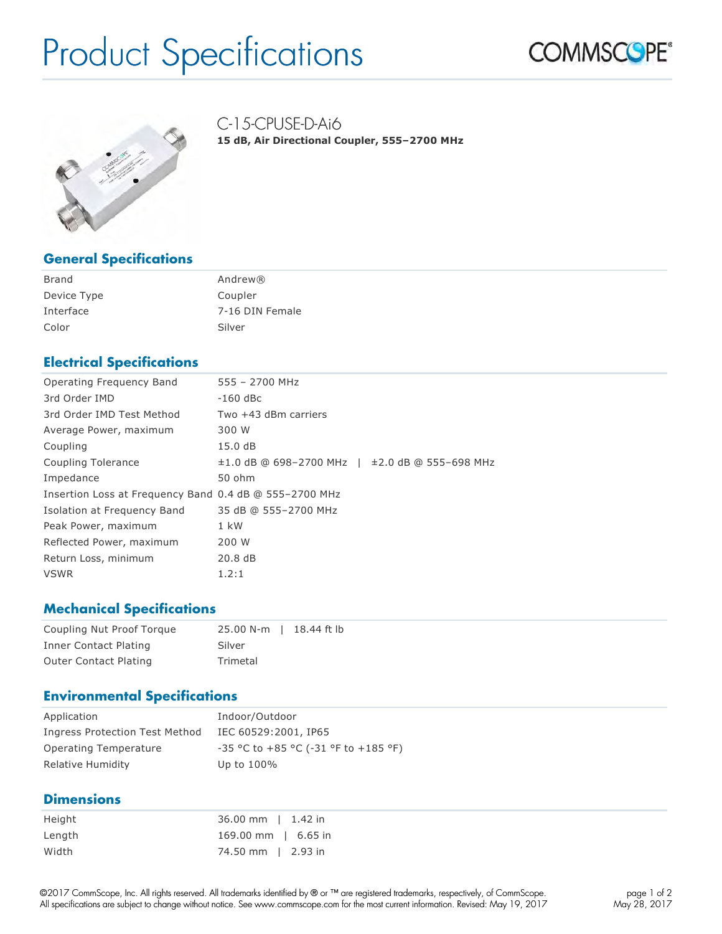# Product Specifications





C-15-CPUSE-D-Ai6

**15 dB, Air Directional Coupler, 555–2700 MHz**

#### **General Specifications**

| Brand       | Andrew $\mathbb{R}$ |
|-------------|---------------------|
| Device Type | Coupler             |
| Interface   | 7-16 DIN Female     |
| Color       | Silver              |

### **Electrical Specifications**

| Operating Frequency Band                               | 555 - 2700 MHz                                           |
|--------------------------------------------------------|----------------------------------------------------------|
| 3rd Order IMD                                          | $-160$ dBc                                               |
| 3rd Order IMD Test Method                              | Two +43 dBm carriers                                     |
| Average Power, maximum                                 | 300 W                                                    |
| Coupling                                               | 15.0 dB                                                  |
| Coupling Tolerance                                     | $\pm 1.0$ dB @ 698-2700 MHz   $\pm 2.0$ dB @ 555-698 MHz |
| Impedance                                              | 50 ohm                                                   |
| Insertion Loss at Frequency Band 0.4 dB @ 555-2700 MHz |                                                          |
| Isolation at Frequency Band                            | 35 dB @ 555-2700 MHz                                     |
| Peak Power, maximum                                    | 1 kW                                                     |
| Reflected Power, maximum                               | 200 W                                                    |
| Return Loss, minimum                                   | 20.8dB                                                   |
| <b>VSWR</b>                                            | 1.2:1                                                    |

#### **Mechanical Specifications**

| Coupling Nut Proof Torque    | 25.00 N-m   18.44 ft lb |
|------------------------------|-------------------------|
| Inner Contact Plating        | Silver                  |
| <b>Outer Contact Plating</b> | Trimetal                |

#### **Environmental Specifications**

| Application                    | Indoor/Outdoor                                |
|--------------------------------|-----------------------------------------------|
| Ingress Protection Test Method | IEC 60529:2001, IP65                          |
| Operating Temperature          | $-35$ °C to $+85$ °C ( $-31$ °F to $+185$ °F) |
| Relative Humidity              | Up to 100%                                    |

#### **Dimensions**

| Height | 36.00 mm   1.42 in  |
|--------|---------------------|
| Length | 169.00 mm   6.65 in |
| Width  | 74.50 mm   2.93 in  |